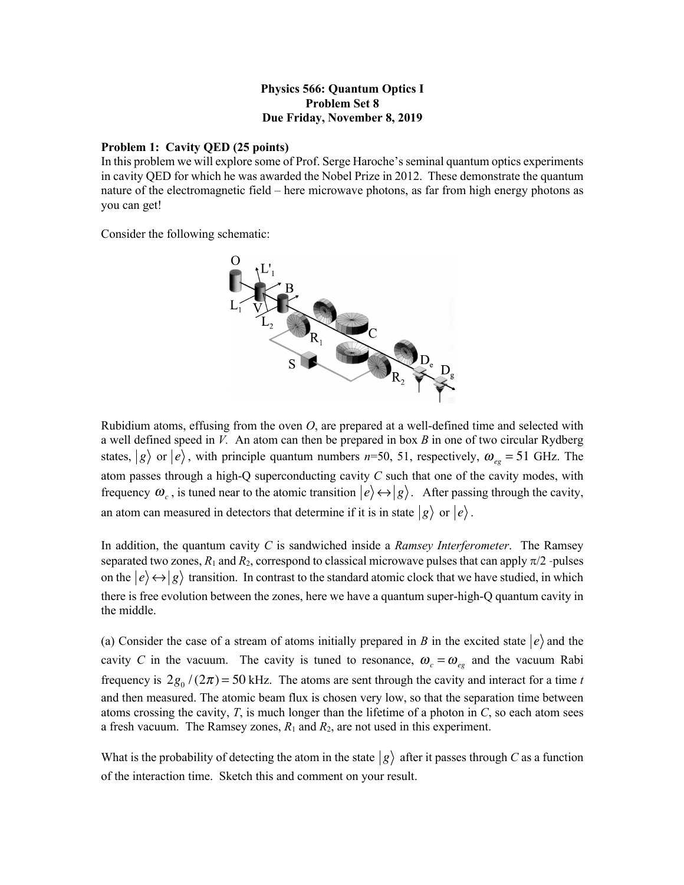## **Physics 566: Quantum Optics I Problem Set 8 Due Friday, November 8, 2019**

## **Problem 1: Cavity QED (25 points)**

In this problem we will explore some of Prof. Serge Haroche's seminal quantum optics experiments in cavity QED for which he was awarded the Nobel Prize in 2012. These demonstrate the quantum nature of the electromagnetic field – here microwave photons, as far from high energy photons as you can get!

Consider the following schematic:



Rubidium atoms, effusing from the oven *O*, are prepared at a well-defined time and selected with a well defined speed in *V.* An atom can then be prepared in box *B* in one of two circular Rydberg states,  $|g\rangle$  or  $|e\rangle$ , with principle quantum numbers *n*=50, 51, respectively,  $\omega_{eg}$  = 51 GHz. The atom passes through a high-Q superconducting cavity *C* such that one of the cavity modes, with frequency  $\omega_c$ , is tuned near to the atomic transition  $|e\rangle \leftrightarrow |g\rangle$ . After passing through the cavity, an atom can measured in detectors that determine if it is in state  $|g\rangle$  or  $|e\rangle$ .

In addition, the quantum cavity *C* is sandwiched inside a *Ramsey Interferometer*. The Ramsey separated two zones,  $R_1$  and  $R_2$ , correspond to classical microwave pulses that can apply  $\pi/2$ -pulses on the  $\ket{e} \leftrightarrow \ket{g}$  transition. In contrast to the standard atomic clock that we have studied, in which there is free evolution between the zones, here we have a quantum super-high-Q quantum cavity in the middle.

(a) Consider the case of a stream of atoms initially prepared in *B* in the excited state  $|e\rangle$  and the cavity *C* in the vacuum. The cavity is tuned to resonance,  $\omega_c = \omega_{eg}$  and the vacuum Rabi frequency is  $2g_0/(2\pi) = 50$  kHz. The atoms are sent through the cavity and interact for a time *t* and then measured. The atomic beam flux is chosen very low, so that the separation time between atoms crossing the cavity, *T*, is much longer than the lifetime of a photon in *C*, so each atom sees a fresh vacuum. The Ramsey zones,  $R_1$  and  $R_2$ , are not used in this experiment.

What is the probability of detecting the atom in the state  $|g\rangle$  after it passes through *C* as a function of the interaction time. Sketch this and comment on your result.